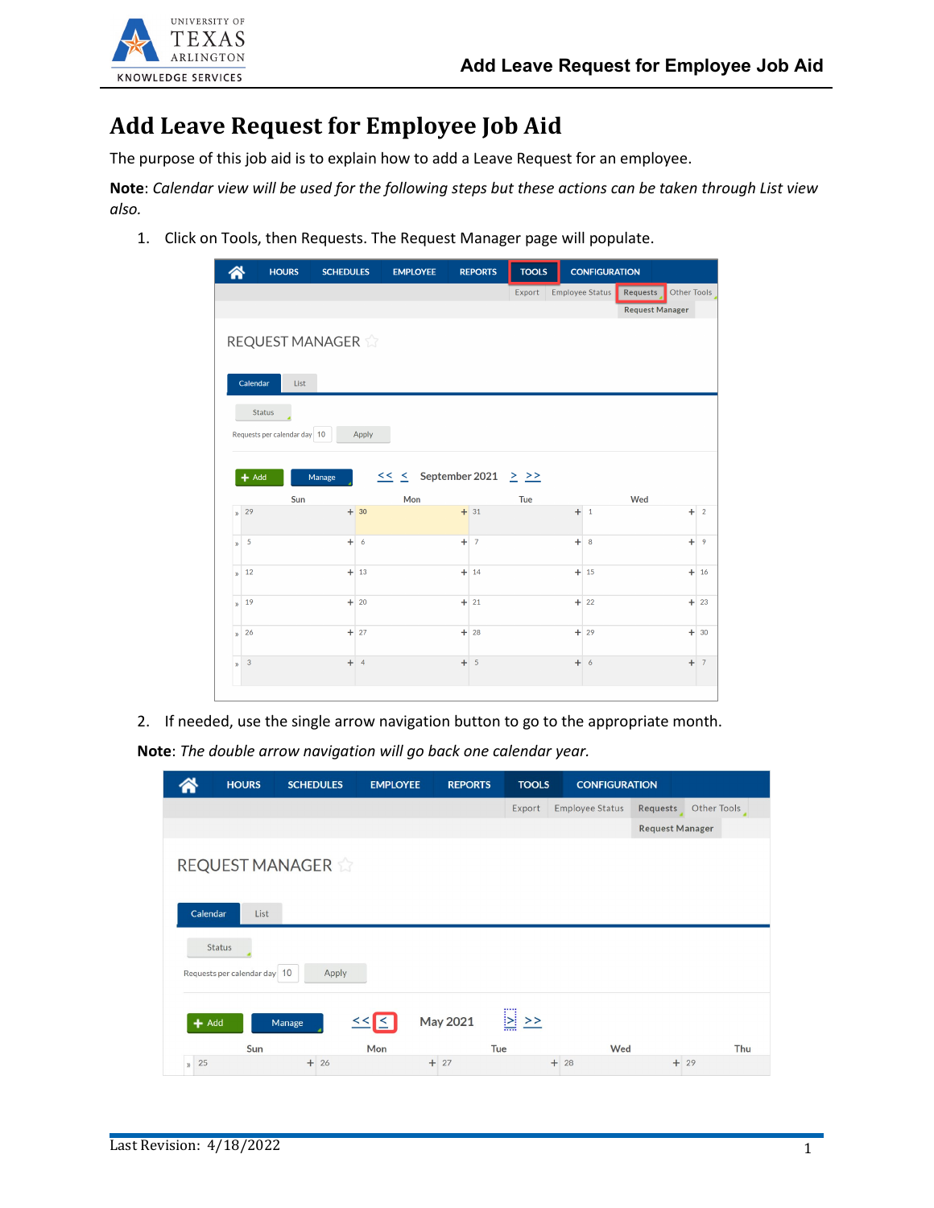

## **Add Leave Request for Employee Job Aid**

The purpose of this job aid is to explain how to add a Leave Request for an employee.

**Note**: *Calendar view will be used for the following steps but these actions can be taken through List view also.*

1. Click on Tools, then Requests. The Request Manager page will populate.

| Other Tools<br>Employee Status<br>Export<br>Requests<br><b>Request Manager</b><br>REQUEST MANAGER<br>Calendar<br>List<br><b>Status</b><br>Requests per calendar day 10<br>Apply<br>$\leq$ $\leq$ September 2021 $\geq$ $\geq$<br>$+$ Add<br>Manage<br>Mon<br>Wed<br>Sun<br>Tue<br>$+31$<br>29<br>$+30$<br>$+11$<br>÷<br>$\overline{2}$<br>$\mathbf{v}$<br>$+ 6$<br>$+7$<br>$+ 8$<br>5<br>$\ddot{}$<br>$\overline{9}$<br>$\mathbf{v}$<br>$+13$<br>$+ 14$<br>$+15$<br>$+16$<br>12<br>$\mathbf{v}$<br>$+ 20$<br>$+ 21$<br>$+ 22$<br>$+ 23$<br>19<br>$\mathbf{v}$<br>$+ 27$<br>$+ 28$<br>$+ 29$<br>26<br>$+30$<br>$\mathbf{v}$ |              | <b>HOURS</b> | <b>SCHEDULES</b> | <b>EMPLOYEE</b> | <b>REPORTS</b> | <b>TOOLS</b> | <b>CONFIGURATION</b> |  |  |
|----------------------------------------------------------------------------------------------------------------------------------------------------------------------------------------------------------------------------------------------------------------------------------------------------------------------------------------------------------------------------------------------------------------------------------------------------------------------------------------------------------------------------------------------------------------------------------------------------------------------------|--------------|--------------|------------------|-----------------|----------------|--------------|----------------------|--|--|
|                                                                                                                                                                                                                                                                                                                                                                                                                                                                                                                                                                                                                            |              |              |                  |                 |                |              |                      |  |  |
|                                                                                                                                                                                                                                                                                                                                                                                                                                                                                                                                                                                                                            |              |              |                  |                 |                |              |                      |  |  |
|                                                                                                                                                                                                                                                                                                                                                                                                                                                                                                                                                                                                                            |              |              |                  |                 |                |              |                      |  |  |
|                                                                                                                                                                                                                                                                                                                                                                                                                                                                                                                                                                                                                            |              |              |                  |                 |                |              |                      |  |  |
|                                                                                                                                                                                                                                                                                                                                                                                                                                                                                                                                                                                                                            |              |              |                  |                 |                |              |                      |  |  |
|                                                                                                                                                                                                                                                                                                                                                                                                                                                                                                                                                                                                                            |              |              |                  |                 |                |              |                      |  |  |
|                                                                                                                                                                                                                                                                                                                                                                                                                                                                                                                                                                                                                            |              |              |                  |                 |                |              |                      |  |  |
|                                                                                                                                                                                                                                                                                                                                                                                                                                                                                                                                                                                                                            |              |              |                  |                 |                |              |                      |  |  |
|                                                                                                                                                                                                                                                                                                                                                                                                                                                                                                                                                                                                                            |              |              |                  |                 |                |              |                      |  |  |
|                                                                                                                                                                                                                                                                                                                                                                                                                                                                                                                                                                                                                            |              |              |                  |                 |                |              |                      |  |  |
|                                                                                                                                                                                                                                                                                                                                                                                                                                                                                                                                                                                                                            |              |              |                  |                 |                |              |                      |  |  |
|                                                                                                                                                                                                                                                                                                                                                                                                                                                                                                                                                                                                                            |              |              |                  |                 |                |              |                      |  |  |
|                                                                                                                                                                                                                                                                                                                                                                                                                                                                                                                                                                                                                            |              |              |                  |                 |                |              |                      |  |  |
|                                                                                                                                                                                                                                                                                                                                                                                                                                                                                                                                                                                                                            |              |              |                  |                 |                |              |                      |  |  |
|                                                                                                                                                                                                                                                                                                                                                                                                                                                                                                                                                                                                                            |              |              |                  |                 |                |              |                      |  |  |
|                                                                                                                                                                                                                                                                                                                                                                                                                                                                                                                                                                                                                            |              |              |                  |                 |                |              |                      |  |  |
|                                                                                                                                                                                                                                                                                                                                                                                                                                                                                                                                                                                                                            |              |              |                  |                 |                |              |                      |  |  |
|                                                                                                                                                                                                                                                                                                                                                                                                                                                                                                                                                                                                                            |              |              |                  |                 |                |              |                      |  |  |
| $+ 5$<br>$+7$                                                                                                                                                                                                                                                                                                                                                                                                                                                                                                                                                                                                              | $\mathbf{v}$ | $\sqrt{3}$   | $+ 4$            |                 |                |              | $+ 6$                |  |  |
|                                                                                                                                                                                                                                                                                                                                                                                                                                                                                                                                                                                                                            |              |              |                  |                 |                |              |                      |  |  |

2. If needed, use the single arrow navigation button to go to the appropriate month. **Note**: *The double arrow navigation will go back one calendar year.*

|         | <b>HOURS</b>                                  | <b>SCHEDULES</b> | <b>EMPLOYEE</b> | <b>REPORTS</b> | <b>TOOLS</b>       | <b>CONFIGURATION</b>   |                        |             |
|---------|-----------------------------------------------|------------------|-----------------|----------------|--------------------|------------------------|------------------------|-------------|
|         |                                               |                  |                 |                | Export             | <b>Employee Status</b> | Requests               | Other Tools |
|         |                                               |                  |                 |                |                    |                        | <b>Request Manager</b> |             |
|         | <b>REQUEST MANAGER</b><br>Calendar<br>List    |                  |                 |                |                    |                        |                        |             |
|         | <b>Status</b><br>Requests per calendar day 10 | Apply            |                 |                |                    |                        |                        |             |
| $+$ Add | Sun                                           | Manage           | $<<$ $<$<br>Mon | May 2021       | $\ge$ $\ge$<br>Tue | Wed                    |                        | Thu         |
| 25      |                                               | $+26$            |                 | $+27$          |                    | $+ 28$                 | $+ 29$                 |             |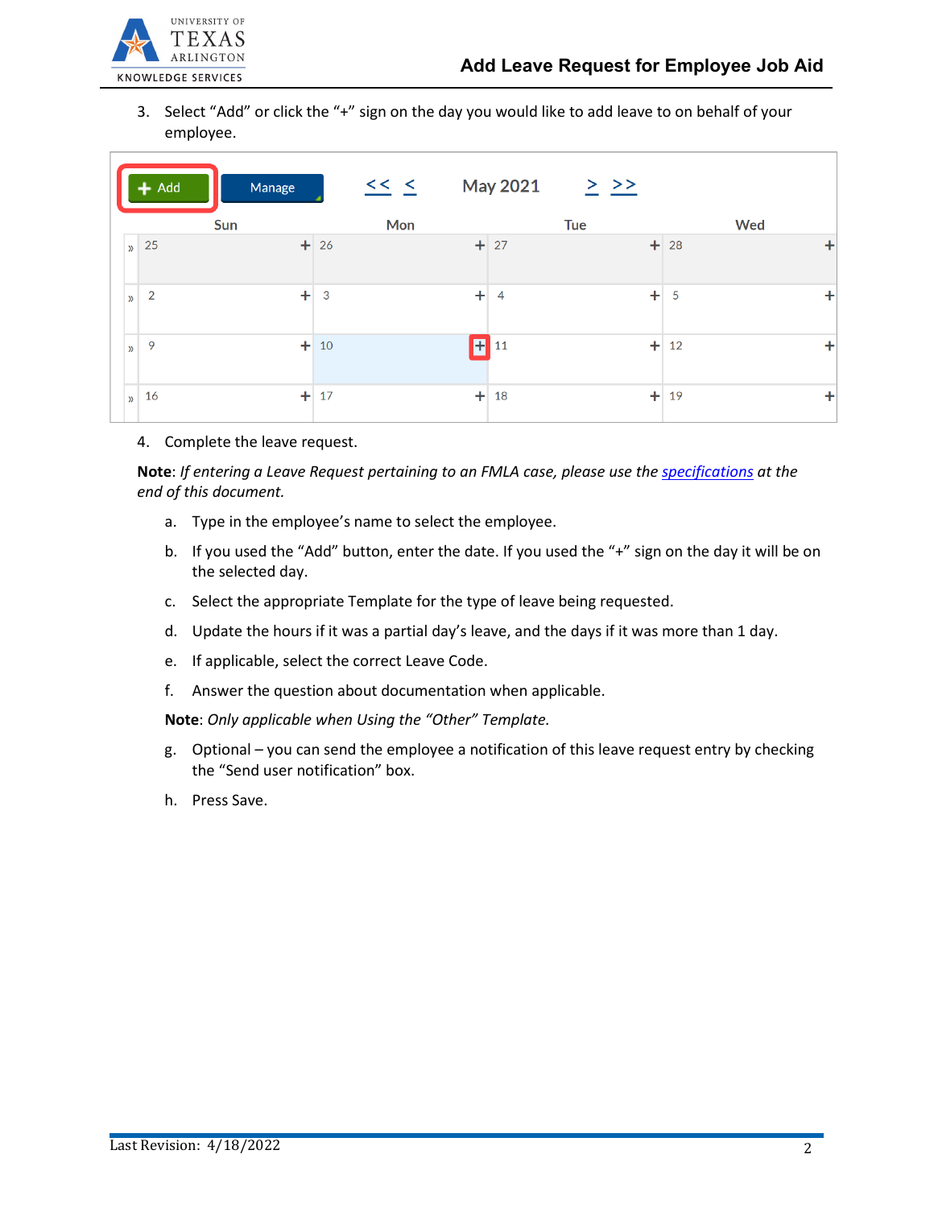

3. Select "Add" or click the "+" sign on the day you would like to add leave to on behalf of your employee.

| $+$ Add                         | Manage | << <   | <b>May 2021</b>             | $\geq$ $\geq$ |             |
|---------------------------------|--------|--------|-----------------------------|---------------|-------------|
|                                 | Sun    | Mon    |                             | <b>Tue</b>    | <b>Wed</b>  |
| 25<br>$\mathbf{v}$              |        | $+ 26$ | $+ 27$                      |               | $+ 28$<br>÷ |
| $\overline{2}$<br>$\mathcal{Y}$ | ÷      | 3      | $\ddot{}$<br>$\overline{4}$ | ÷             | ÷<br>5      |
| 9<br>$\mathcal{D}$              | $+$    | 10     | $+111$                      | ÷             | ٠<br>12     |
| 16<br>$\mathbf{v}$              | $+$    | 17     | $+$<br>18                   | $+$           | ٠<br>19     |

4. Complete the leave request.

**Note**: *If entering a Leave Request pertaining to an FMLA case, please use the [specifications](#page-3-0) at the end of this document.*

- a. Type in the employee's name to select the employee.
- b. If you used the "Add" button, enter the date. If you used the "+" sign on the day it will be on the selected day.
- c. Select the appropriate Template for the type of leave being requested.
- d. Update the hours if it was a partial day's leave, and the days if it was more than 1 day.
- e. If applicable, select the correct Leave Code.
- f. Answer the question about documentation when applicable.

**Note**: *Only applicable when Using the "Other" Template.* 

- g. Optional you can send the employee a notification of this leave request entry by checking the "Send user notification" box.
- h. Press Save.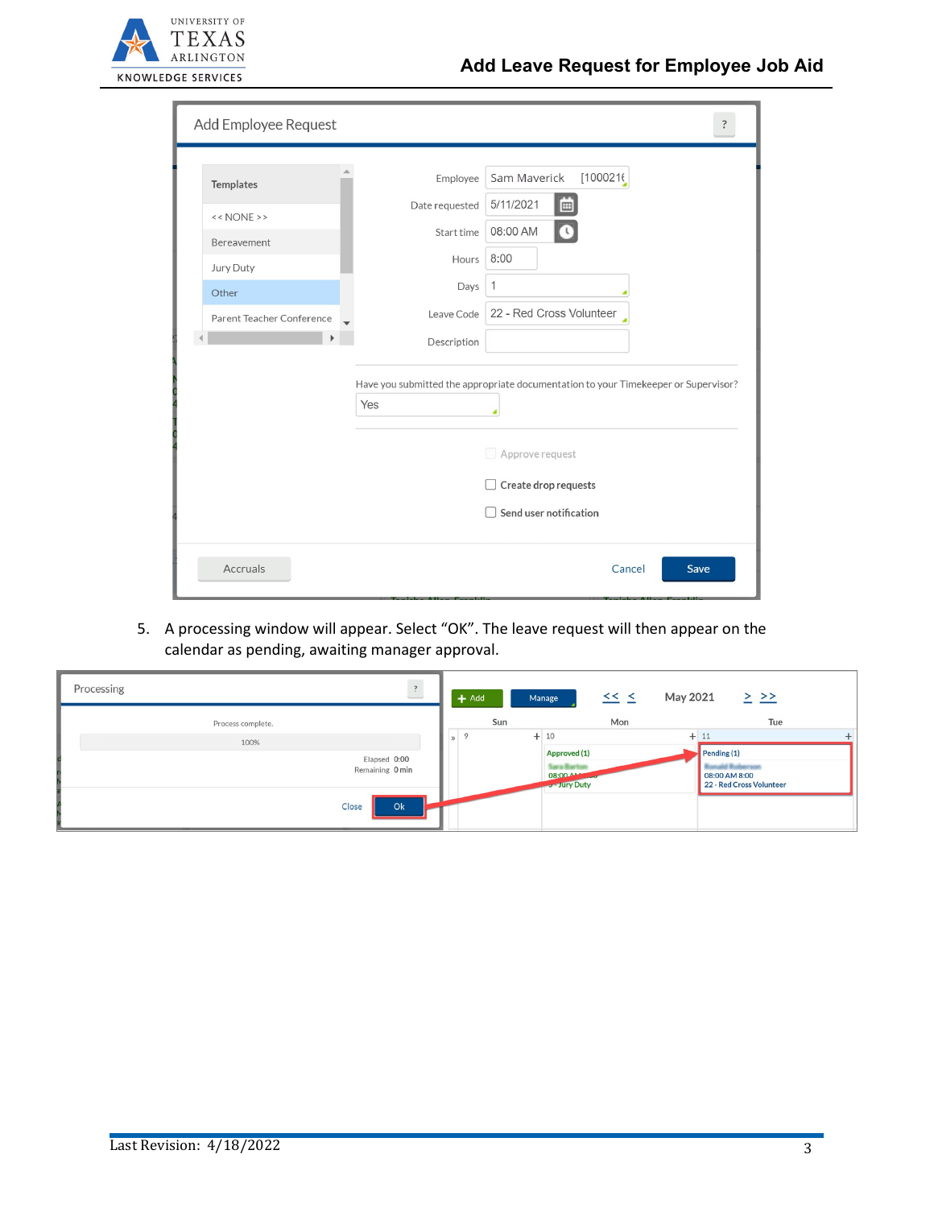

|  | Add Employee Request                                                                                                                 |                | $\ddot{\cdot}$            |  |  |
|--|--------------------------------------------------------------------------------------------------------------------------------------|----------------|---------------------------|--|--|
|  | Templates                                                                                                                            | Employee       | Sam Maverick<br>[1000216] |  |  |
|  | << NONE                                                                                                                              | Date requested | 5/11/2021<br>画            |  |  |
|  | Bereavement                                                                                                                          | Start time     | 08:00 AM                  |  |  |
|  | Jury Duty                                                                                                                            | Hours          | 8:00                      |  |  |
|  | Other                                                                                                                                | Days           | $\mathbf{1}$              |  |  |
|  | Parent Teacher Conference                                                                                                            | Leave Code     | 22 - Red Cross Volunteer  |  |  |
|  |                                                                                                                                      | Description    |                           |  |  |
|  | Have you submitted the appropriate documentation to your Timekeeper or Supervisor?<br>Yes<br>Approve request<br>Create drop requests |                |                           |  |  |
|  |                                                                                                                                      |                |                           |  |  |
|  |                                                                                                                                      |                |                           |  |  |
|  |                                                                                                                                      |                | Send user notification    |  |  |
|  | Accruals                                                                                                                             |                | Save<br>Cancel            |  |  |

5. A processing window will appear. Select "OK". The leave request will then appear on the calendar as pending, awaiting manager approval.

| $\overline{\mathbf{?}}$<br>Processing | $\leq$ $\leq$<br>$+$ Add<br>Manage | May 2021<br>$\geq$ $\geq$ |
|---------------------------------------|------------------------------------|---------------------------|
| Process complete.                     | Sun<br>Mon                         | Tue                       |
| 100%                                  | $\circ$<br>$+10$                   | $+11$                     |
| Elapsed 0:00                          | Approved (1)                       | Pending $(1)$             |
| Remaining 0 min                       | 08:00 444                          | 08:00 AM 8:00             |
|                                       | J - Jury Duty                      | 22 - Red Cross Volunteer  |
| Ok<br>Close                           |                                    |                           |
|                                       |                                    |                           |